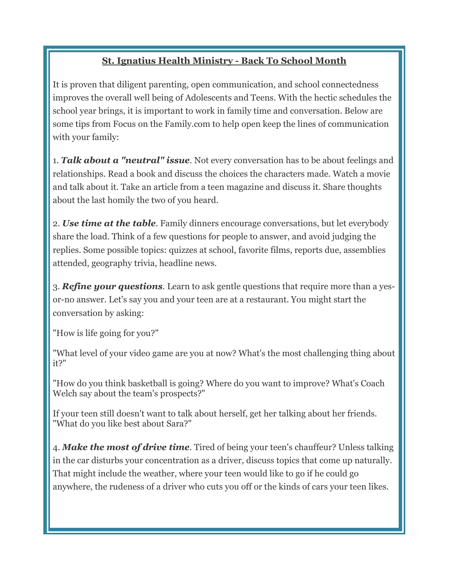## St. Ignatius Health Ministry - Back To School Month

It is proven that diligent parenting, open communication, and school connectedness improves the overall well being of Adolescents and Teens. With the hectic schedules the school year brings, it is important to work in family time and conversation. Below are some tips from Focus on the Family.com to help open keep the lines of communication with your family:

1. *Talk about a "neutral" issue.* Not every conversation has to be about feelings and relationships. Read a book and discuss the choices the characters made. Watch a movie and talk about it. Take an article from a teen magazine and discuss it. Share thoughts about the last homily the two of you heard.

2. *Use time at the table.* Family dinners encourage conversations, but let everybody share the load. Think of a few questions for people to answer, and avoid judging the replies. Some possible topics: quizzes at school, favorite films, reports due, assemblies attended, geography trivia, headline news.

3. *Refine your questions.* Learn to ask gentle questions that require more than a yesor-no answer. Let's say you and your teen are at a restaurant. You might start the conversation by asking:

"How is life going for you?"

"What level of your video game are you at now? What's the most challenging thing about it?"

"How do you think basketball is going? Where do you want to improve? What's Coach Welch say about the team's prospects?"

If your teen still doesn't want to talk about herself, get her talking about her friends. "What do you like best about Sara?"

4. *Make the most of drive time.* Tired of being your teen's chauffeur? Unless talking in the car disturbs your concentration as a driver, discuss topics that come up naturally. That might include the weather, where your teen would like to go if he could go anywhere, the rudeness of a driver who cuts you off or the kinds of cars your teen likes.